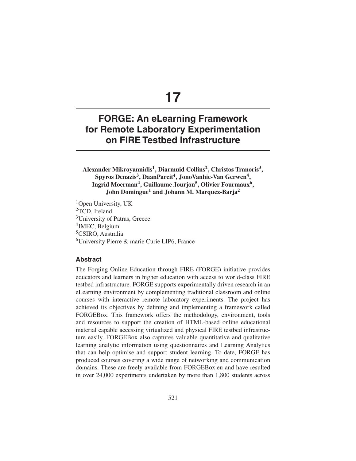# **17**

# **FORGE: An eLearning Framework for Remote Laboratory Experimentation on FIRE Testbed Infrastructure**

# **Alexander Mikroyannidis1, Diarmuid Collins2, Christos Tranoris3, Spyros Denazis3, DaanPareit4, JonoVanhie-Van Gerwen4,** Ingrid Moerman<sup>4</sup>, Guillaume Jourjon<sup>5</sup>, Olivier Fourmaux<sup>6</sup>, **John Domingue<sup>1</sup> and Johann M. Marquez-Barja2**

<sup>1</sup>Open University, UK <sup>2</sup>TCD, Ireland <sup>3</sup>University of Patras, Greece 4IMEC, Belgium 5CSIRO, Australia 6University Pierre & marie Curie LIP6, France

#### **Abstract**

The Forging Online Education through FIRE (FORGE) initiative provides educators and learners in higher education with access to world-class FIRE testbed infrastructure. FORGE supports experimentally driven research in an eLearning environment by complementing traditional classroom and online courses with interactive remote laboratory experiments. The project has achieved its objectives by defining and implementing a framework called FORGEBox. This framework offers the methodology, environment, tools and resources to support the creation of HTML-based online educational material capable accessing virtualized and physical FIRE testbed infrastructure easily. FORGEBox also captures valuable quantitative and qualitative learning analytic information using questionnaires and Learning Analytics that can help optimise and support student learning. To date, FORGE has produced courses covering a wide range of networking and communication domains. These are freely available from FORGEBox.eu and have resulted in over 24,000 experiments undertaken by more than 1,800 students across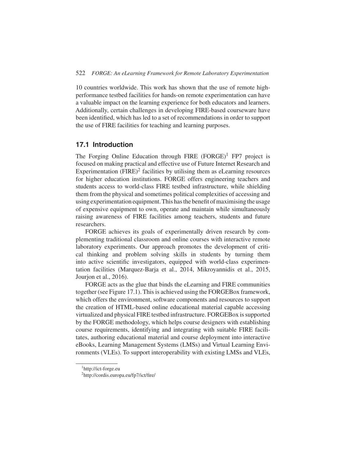10 countries worldwide. This work has shown that the use of remote highperformance testbed facilities for hands-on remote experimentation can have a valuable impact on the learning experience for both educators and learners. Additionally, certain challenges in developing FIRE-based courseware have been identified, which has led to a set of recommendations in order to support the use of FIRE facilities for teaching and learning purposes.

# **17.1 Introduction**

The Forging Online Education through FIRE  $(FORGE)^1$  FP7 project is focused on making practical and effective use of Future Internet Research and Experimentation (FIRE)<sup>2</sup> facilities by utilising them as eLearning resources for higher education institutions. FORGE offers engineering teachers and students access to world-class FIRE testbed infrastructure, while shielding them from the physical and sometimes political complexities of accessing and using experimentation equipment. This has the benefit of maximising the usage of expensive equipment to own, operate and maintain while simultaneously raising awareness of FIRE facilities among teachers, students and future researchers.

FORGE achieves its goals of experimentally driven research by complementing traditional classroom and online courses with interactive remote laboratory experiments. Our approach promotes the development of critical thinking and problem solving skills in students by turning them into active scientific investigators, equipped with world-class experimentation facilities (Marquez-Barja et al., 2014, Mikroyannidis et al., 2015, Jourjon et al., 2016).

FORGE acts as the glue that binds the eLearning and FIRE communities together (see Figure 17.1). This is achieved using the FORGEBox framework, which offers the environment, software components and resources to support the creation of HTML-based online educational material capable accessing virtualized and physical FIRE testbed infrastructure. FORGEBox is supported by the FORGE methodology, which helps course designers with establishing course requirements, identifying and integrating with suitable FIRE facilitates, authoring educational material and course deployment into interactive eBooks, Learning Management Systems (LMSs) and Virtual Learning Environments (VLEs). To support interoperability with existing LMSs and VLEs,

<sup>1</sup> http://ict-forge.eu

<sup>&</sup>lt;sup>2</sup>http://cordis.europa.eu/fp7/ict/fire/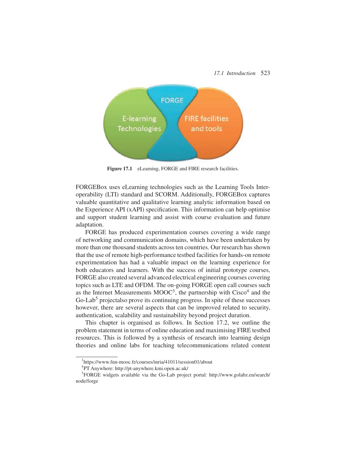

Figure 17.1 eLearning, FORGE and FIRE research facilities.

FORGEBox uses eLearning technologies such as the Learning Tools Interoperability (LTI) standard and SCORM. Additionally, FORGEBox captures valuable quantitative and qualitative learning analytic information based on the Experience API (xAPI) specification. This information can help optimise and support student learning and assist with course evaluation and future adaptation.

FORGE has produced experimentation courses covering a wide range of networking and communication domains, which have been undertaken by more than one thousand students across ten countries. Our research has shown that the use of remote high-performance testbed facilities for hands-on remote experimentation has had a valuable impact on the learning experience for both educators and learners. With the success of initial prototype courses, FORGE also created several advanced electrical engineering courses covering topics such as LTE and OFDM. The on-going FORGE open call courses such as the Internet Measurements  $MOOC<sup>3</sup>$ , the partnership with  $Cisco<sup>4</sup>$  and the Go-Lab<sup>5</sup> projectalso prove its continuing progress. In spite of these successes however, there are several aspects that can be improved related to security, authentication, scalability and sustainability beyond project duration.

This chapter is organised as follows. In Section 17.2, we outline the problem statement in terms of online education and maximising FIRE testbed resources. This is followed by a synthesis of research into learning design theories and online labs for teaching telecommunications related content

<sup>3</sup> https://www.fun-mooc.fr/courses/inria/41011/session01/about

<sup>4</sup> PT Anywhere: http://pt-anywhere.kmi.open.ac.uk/

<sup>5</sup> FORGE widgets available via the Go-Lab project portal: http://www.golabz.eu/search/ node/forge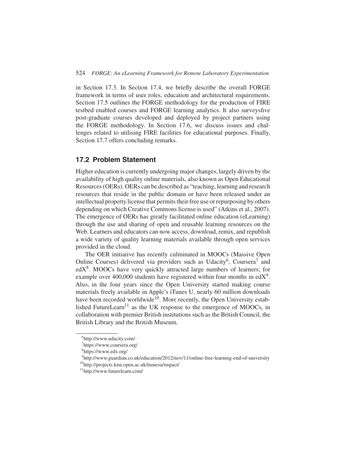in Section 17.3. In Section 17.4, we briefly describe the overall FORGE framework in terms of user roles, education and architectural requirements. Section 17.5 outlines the FORGE methodology for the production of FIRE testbed enabled courses and FORGE learning analytics. It also surveysfive post-graduate courses developed and deployed by project partners using the FORGE methodology. In Section 17.6, we discuss issues and challenges related to utilising FIRE facilities for educational purposes. Finally, Section 17.7 offers concluding remarks.

# **17.2 Problem Statement**

Higher education is currently undergoing major changes, largely driven by the availability of high quality online materials, also known as Open Educational Resources (OERs). OERs can be described as "teaching, learning and research resources that reside in the public domain or have been released under an intellectual property license that permits their free use or repurposing by others depending on which Creative Commons license is used" (Atkins et al., 2007). The emergence of OERs has greatly facilitated online education (eLearning) through the use and sharing of open and reusable learning resources on the Web. Learners and educators can now access, download, remix, and republish a wide variety of quality learning materials available through open services provided in the cloud.

The OER initiative has recently culminated in MOOCs (Massive Open Online Courses) delivered via providers such as Udacity<sup>6</sup>, Coursera<sup>7</sup> and  $edX<sup>8</sup>$ . MOOCs have very quickly attracted large numbers of learners; for example over 400,000 students have registered within four months in ed $X^9$ . Also, in the four years since the Open University started making course materials freely available in Apple's iTunes U, nearly 60 million downloads have been recorded worldwide<sup>10</sup>. More recently, the Open University established FutureLearn<sup>11</sup> as the UK response to the emergence of MOOCs, in collaboration with premier British institutions such as the British Council, the British Library and the British Museum.

<sup>6</sup> http://www.udacity.com/

<sup>7</sup> https://www.coursera.org/

<sup>8</sup> https://www.edx.org/

<sup>&</sup>lt;sup>9</sup>http://www.guardian.co.uk/education/2012/nov/11/online-free-learning-end-of-university 10http://projects.kmi.open.ac.uk/itunesu/impact/

<sup>11</sup>http://www.futurelearn.com/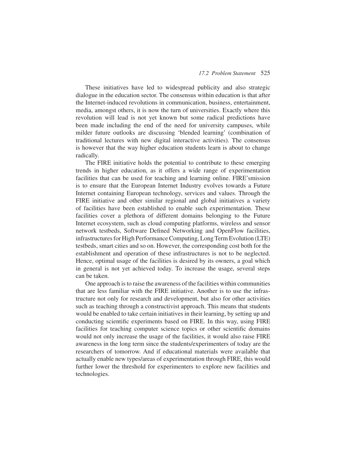These initiatives have led to widespread publicity and also strategic dialogue in the education sector. The consensus within education is that after the Internet-induced revolutions in communication, business, entertainment, media, amongst others, it is now the turn of universities. Exactly where this revolution will lead is not yet known but some radical predictions have been made including the end of the need for university campuses, while milder future outlooks are discussing 'blended learning' (combination of traditional lectures with new digital interactive activities). The consensus is however that the way higher education students learn is about to change radically.

The FIRE initiative holds the potential to contribute to these emerging trends in higher education, as it offers a wide range of experimentation facilities that can be used for teaching and learning online. FIRE'smission is to ensure that the European Internet Industry evolves towards a Future Internet containing European technology, services and values. Through the FIRE initiative and other similar regional and global initiatives a variety of facilities have been established to enable such experimentation. These facilities cover a plethora of different domains belonging to the Future Internet ecosystem, such as cloud computing platforms, wireless and sensor network testbeds, Software Defined Networking and OpenFlow facilities, infrastructures for High Performance Computing, Long Term Evolution (LTE) testbeds, smart cities and so on. However, the corresponding cost both for the establishment and operation of these infrastructures is not to be neglected. Hence, optimal usage of the facilities is desired by its owners, a goal which in general is not yet achieved today. To increase the usage, several steps can be taken.

One approach is to raise the awareness of the facilities within communities that are less familiar with the FIRE initiative. Another is to use the infrastructure not only for research and development, but also for other activities such as teaching through a constructivist approach. This means that students would be enabled to take certain initiatives in their learning, by setting up and conducting scientific experiments based on FIRE. In this way, using FIRE facilities for teaching computer science topics or other scientific domains would not only increase the usage of the facilities, it would also raise FIRE awareness in the long term since the students/experimenters of today are the researchers of tomorrow. And if educational materials were available that actually enable new types/areas of experimentation through FIRE, this would further lower the threshold for experimenters to explore new facilities and technologies.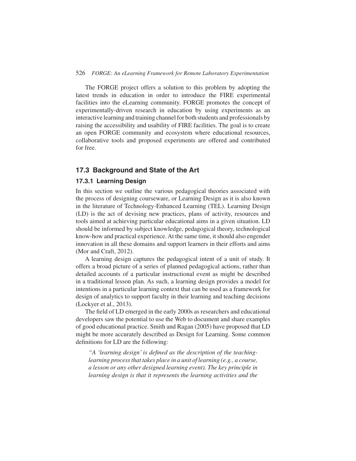The FORGE project offers a solution to this problem by adopting the latest trends in education in order to introduce the FIRE experimental facilities into the eLearning community. FORGE promotes the concept of experimentally-driven research in education by using experiments as an interactive learning and training channel for both students and professionals by raising the accessibility and usability of FIRE facilities. The goal is to create an open FORGE community and ecosystem where educational resources, collaborative tools and proposed experiments are offered and contributed for free.

# **17.3 Background and State of the Art**

#### **17.3.1 Learning Design**

In this section we outline the various pedagogical theories associated with the process of designing courseware, or Learning Design as it is also known in the literature of Technology-Enhanced Learning (TEL). Learning Design (LD) is the act of devising new practices, plans of activity, resources and tools aimed at achieving particular educational aims in a given situation. LD should be informed by subject knowledge, pedagogical theory, technological know-how and practical experience. At the same time, it should also engender innovation in all these domains and support learners in their efforts and aims (Mor and Craft, 2012).

A learning design captures the pedagogical intent of a unit of study. It offers a broad picture of a series of planned pedagogical actions, rather than detailed accounts of a particular instructional event as might be described in a traditional lesson plan. As such, a learning design provides a model for intentions in a particular learning context that can be used as a framework for design of analytics to support faculty in their learning and teaching decisions (Lockyer et al., 2013).

The field of LD emerged in the early 2000s as researchers and educational developers saw the potential to use the Web to document and share examples of good educational practice. Smith and Ragan (2005) have proposed that LD might be more accurately described as Design for Learning. Some common definitions for LD are the following:

*"A 'learning design' is defined as the description of the teachinglearning process that takes place in a unit of learning (e.g., a course, a lesson or any other designed learning event). The key principle in learning design is that it represents the learning activities and the*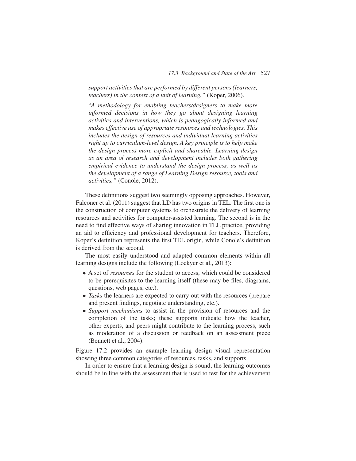*support activities that are performed by different persons (learners, teachers) in the context of a unit of learning."* (Koper, 2006).

"*A methodology for enabling teachers/designers to make more informed decisions in how they go about designing learning activities and interventions, which is pedagogically informed and makes effective use of appropriate resources and technologies. This includes the design of resources and individual learning activities right up to curriculum-level design. A key principle is to help make the design process more explicit and shareable. Learning design as an area of research and development includes both gathering empirical evidence to understand the design process, as well as the development of a range of Learning Design resource, tools and activities."* (Conole, 2012).

These definitions suggest two seemingly opposing approaches. However, Falconer et al. (2011) suggest that LD has two origins in TEL. The first one is the construction of computer systems to orchestrate the delivery of learning resources and activities for computer-assisted learning. The second is in the need to find effective ways of sharing innovation in TEL practice, providing an aid to efficiency and professional development for teachers. Therefore, Koper's definition represents the first TEL origin, while Conole's definition is derived from the second.

The most easily understood and adapted common elements within all learning designs include the following (Lockyer et al., 2013):

- A set of *resources* for the student to access, which could be considered to be prerequisites to the learning itself (these may be files, diagrams, questions, web pages, etc.).
- *Tasks* the learners are expected to carry out with the resources (prepare and present findings, negotiate understanding, etc.).
- *Support mechanisms* to assist in the provision of resources and the completion of the tasks; these supports indicate how the teacher, other experts, and peers might contribute to the learning process, such as moderation of a discussion or feedback on an assessment piece (Bennett et al., 2004).

Figure 17.2 provides an example learning design visual representation showing three common categories of resources, tasks, and supports.

In order to ensure that a learning design is sound, the learning outcomes should be in line with the assessment that is used to test for the achievement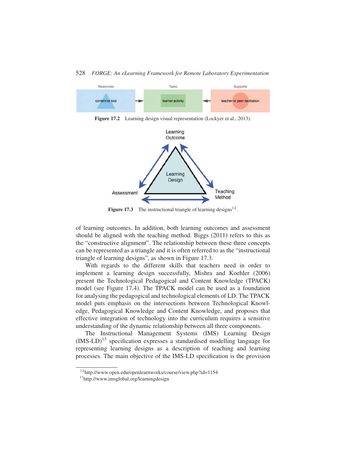#### Resources Tasks Supports content or tool learner activity teacher or peer facilitation

#### 528 *FORGE: An eLearning Framework for Remote Laboratory Experimentation*

**Figure 17.2** Learning design visual representation (Lockyer et al., 2013).



**Figure 17.3** The instructional triangle of learning designs<sup>12</sup>.

of learning outcomes. In addition, both learning outcomes and assessment should be aligned with the teaching method. Biggs (2011) refers to this as the "constructive alignment". The relationship between these three concepts can be represented as a triangle and it is often referred to as the "instructional triangle of learning designs", as shown in Figure 17.3.

With regards to the different skills that teachers need in order to implement a learning design successfully, Mishra and Koehler (2006) present the Technological Pedagogical and Content Knowledge (TPACK) model (see Figure 17.4). The TPACK model can be used as a foundation for analysing the pedagogical and technological elements of LD. The TPACK model puts emphasis on the intersections between Technological Knowledge, Pedagogical Knowledge and Content Knowledge, and proposes that effective integration of technology into the curriculum requires a sensitive understanding of the dynamic relationship between all three components.

The Instructional Management Systems (IMS) Learning Design  $(MIS-LD)<sup>13</sup>$  specification expresses a standardised modelling language for representing learning designs as a description of teaching and learning processes. The main objective of the IMS-LD specification is the provision

<sup>12</sup>http://www.open.edu/openlearnworks/course/view.php?id=1154

<sup>13</sup>http://www.imsglobal.org/learningdesign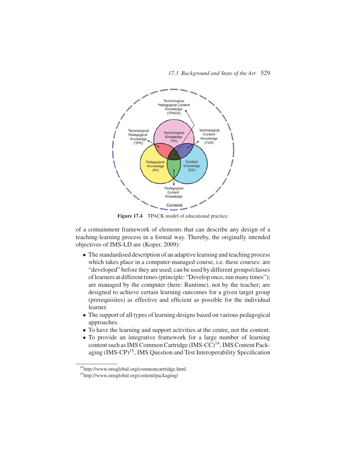

Figure 17.4 TPACK model of educational practice.

of a containment framework of elements that can describe any design of a teaching-learning process in a formal way. Thereby, the originally intended objectives of IMS-LD are (Koper, 2009):

- The standardised description of an adaptive learning and teaching process which takes place in a computer-managed course, i.e. these courses: are "developed" before they are used; can be used by different groups/classes of learners at different times (principle: "Develop once, run many times"); are managed by the computer (here: Runtime), not by the teacher; are designed to achieve certain learning outcomes for a given target group (prerequisites) as effective and efficient as possible for the individual learner.
- The support of all types of learning designs based on various pedagogical approaches.
- To have the learning and support activities at the centre, not the content.
- To provide an integrative framework for a large number of learning content such as IMS Common Cartridge (IMS-CC)<sup>14</sup>, IMS Content Packaging  $(IMS-CP)^{15}$ , IMS Question and Test Interoperability Specification

<sup>14</sup>http://www.imsglobal.org/commoncartridge.html

<sup>15</sup>http://www.imsglobal.org/content/packaging/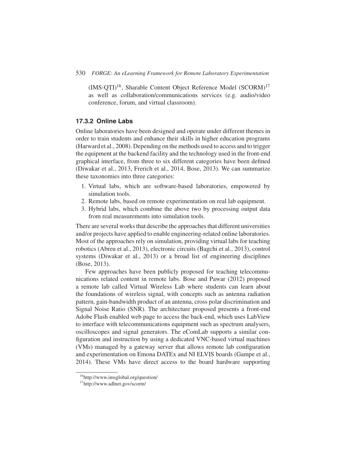$(IMS-OTI)<sup>16</sup>$ , Sharable Content Object Reference Model  $(SCORM)<sup>17</sup>$ as well as collaboration/communications services (e.g. audio/video conference, forum, and virtual classroom).

#### **17.3.2 Online Labs**

Online laboratories have been designed and operate under different themes in order to train students and enhance their skills in higher education programs (Harward et al., 2008). Depending on the methods used to access and to trigger the equipment at the backend facility and the technology used in the front-end graphical interface, from three to six different categories have been defined (Diwakar et al., 2013, Frerich et al., 2014, Bose, 2013). We can summarize these taxonomies into three categories:

- 1. Virtual labs, which are software-based laboratories, empowered by simulation tools.
- 2. Remote labs, based on remote experimentation on real lab equipment.
- 3. Hybrid labs, which combine the above two by processing output data from real measurements into simulation tools.

There are several works that describe the approaches that different universities and/or projects have applied to enable engineering-related online laboratories. Most of the approaches rely on simulation, providing virtual labs for teaching robotics (Abreu et al., 2013), electronic circuits (Bagchi et al., 2013), control systems (Diwakar et al., 2013) or a broad list of engineering disciplines (Bose, 2013).

Few approaches have been publicly proposed for teaching telecommunications related content in remote labs. Bose and Pawar (2012) proposed a remote lab called Virtual Wireless Lab where students can learn about the foundations of wireless signal, with concepts such as antenna radiation pattern, gain-bandwidth product of an antenna, cross polar discrimination and Signal Noise Ratio (SNR). The architecture proposed presents a front-end Adobe Flash enabled web page to access the back-end, which uses LabView to interface with telecommunications equipment such as spectrum analysers, oscilloscopes and signal generators. The eComLab supports a similar configuration and instruction by using a dedicated VNC-based virtual machines (VMs) managed by a gateway server that allows remote lab configuration and experimentation on Emona DATEx and NI ELVIS boards (Gampe et al., 2014). These VMs have direct access to the board hardware supporting

<sup>16</sup>http://www.imsglobal.org/question/

<sup>17</sup>http://www.adlnet.gov/scorm/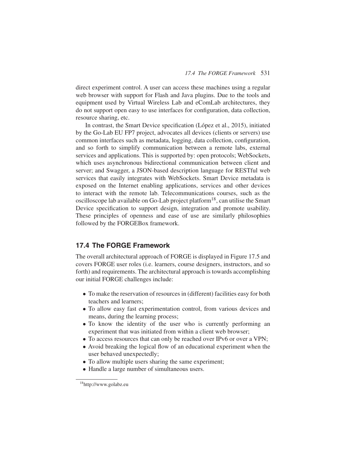direct experiment control. A user can access these machines using a regular web browser with support for Flash and Java plugins. Due to the tools and equipment used by Virtual Wireless Lab and eComLab architectures, they do not support open easy to use interfaces for configuration, data collection, resource sharing, etc.

In contrast, the Smart Device specification (López et al., 2015), initiated by the Go-Lab EU FP7 project, advocates all devices (clients or servers) use common interfaces such as metadata, logging, data collection, configuration, and so forth to simplify communication between a remote labs, external services and applications. This is supported by: open protocols; WebSockets, which uses asynchronous bidirectional communication between client and server; and Swagger, a JSON-based description language for RESTful web services that easily integrates with WebSockets. Smart Device metadata is exposed on the Internet enabling applications, services and other devices to interact with the remote lab. Telecommunications courses, such as the oscilloscope lab available on Go-Lab project platform<sup>18</sup>, can utilise the Smart Device specification to support design, integration and promote usability. These principles of openness and ease of use are similarly philosophies followed by the FORGEBox framework.

# **17.4 The FORGE Framework**

The overall architectural approach of FORGE is displayed in Figure 17.5 and covers FORGE user roles (i.e. learners, course designers, instructors, and so forth) and requirements. The architectural approach is towards accomplishing our initial FORGE challenges include:

- To make the reservation of resources in (different) facilities easy for both teachers and learners;
- To allow easy fast experimentation control, from various devices and means, during the learning process;
- To know the identity of the user who is currently performing an experiment that was initiated from within a client web browser;
- To access resources that can only be reached over IPv6 or over a VPN;
- Avoid breaking the logical flow of an educational experiment when the user behaved unexpectedly;
- To allow multiple users sharing the same experiment;
- Handle a large number of simultaneous users.

<sup>18</sup>http://www.golabz.eu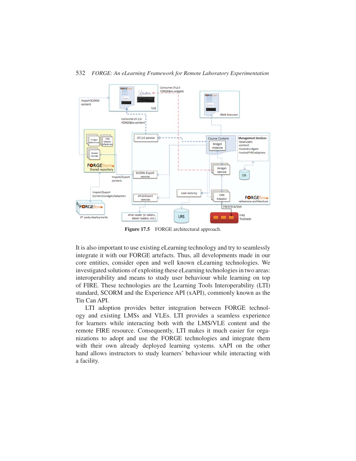

Figure 17.5 FORGE architectural approach.

It is also important to use existing eLearning technology and try to seamlessly integrate it with our FORGE artefacts. Thus, all developments made in our core entities, consider open and well known eLearning technologies. We investigated solutions of exploiting these eLearning technologies in two areas: interoperability and means to study user behaviour while learning on top of FIRE. These technologies are the Learning Tools Interoperability (LTI) standard, SCORM and the Experience API (xAPI), commonly known as the Tin Can API.

LTI adoption provides better integration between FORGE technology and existing LMSs and VLEs. LTI provides a seamless experience for learners while interacting both with the LMS/VLE content and the remote FIRE resource. Consequently, LTI makes it much easier for organizations to adopt and use the FORGE technologies and integrate them with their own already deployed learning systems. xAPI on the other hand allows instructors to study learners' behaviour while interacting with a facility.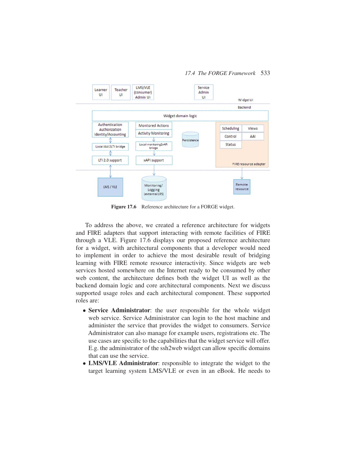#### *17.4 The FORGE Framework* 533



Figure 17.6 Reference architecture for a FORGE widget.

To address the above, we created a reference architecture for widgets and FIRE adapters that support interacting with remote facilities of FIRE through a VLE. Figure 17.6 displays our proposed reference architecture for a widget, with architectural components that a developer would need to implement in order to achieve the most desirable result of bridging learning with FIRE remote resource interactivity. Since widgets are web services hosted somewhere on the Internet ready to be consumed by other web content, the architecture defines both the widget UI as well as the backend domain logic and core architectural components. Next we discuss supported usage roles and each architectural component. These supported roles are:

- **Service Administrator**: the user responsible for the whole widget web service. Service Administrator can login to the host machine and administer the service that provides the widget to consumers. Service Administrator can also manage for example users, registrations etc. The use cases are specific to the capabilities that the widget service will offer. E.g. the administrator of the ssh2web widget can allow specific domains that can use the service.
- **LMS/VLE Administrator**: responsible to integrate the widget to the target learning system LMS/VLE or even in an eBook. He needs to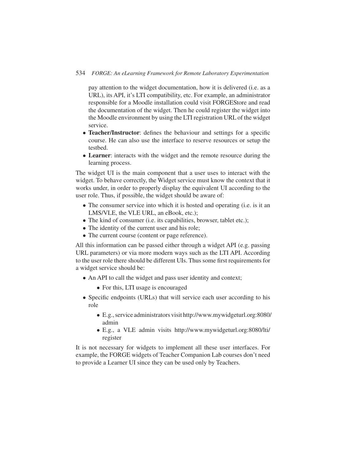pay attention to the widget documentation, how it is delivered (i.e. as a URL), its API, it's LTI compatibility, etc. For example, an administrator responsible for a Moodle installation could visit FORGEStore and read the documentation of the widget. Then he could register the widget into the Moodle environment by using the LTI registration URL of the widget service.

- **Teacher/Instructor**: defines the behaviour and settings for a specific course. He can also use the interface to reserve resources or setup the testbed.
- **Learner**: interacts with the widget and the remote resource during the learning process.

The widget UI is the main component that a user uses to interact with the widget. To behave correctly, the Widget service must know the context that it works under, in order to properly display the equivalent UI according to the user role. Thus, if possible, the widget should be aware of:

- The consumer service into which it is hosted and operating (i.e. is it an LMS/VLE, the VLE URL, an eBook, etc.);
- The kind of consumer (i.e. its capabilities, browser, tablet etc.);
- The identity of the current user and his role;
- The current course (content or page reference).

All this information can be passed either through a widget API (e.g. passing URL parameters) or via more modern ways such as the LTI API. According to the user role there should be different UIs. Thus some first requirements for a widget service should be:

- An API to call the widget and pass user identity and context;
	- For this, LTI usage is encouraged
- Specific endpoints (URLs) that will service each user according to his role
	- E.g., service administrators visit http://www.mywidgeturl.org:8080/ admin
	- E.g., a VLE admin visits http://www.mywidgeturl.org:8080/lti/ register

It is not necessary for widgets to implement all these user interfaces. For example, the FORGE widgets of Teacher Companion Lab courses don't need to provide a Learner UI since they can be used only by Teachers.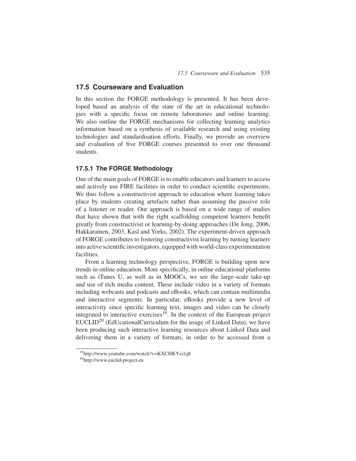# **17.5 Courseware and Evaluation**

In this section the FORGE methodology is presented. It has been developed based an analysis of the state of the art in educational technologies with a specific focus on remote laboratories and online learning. We also outline the FORGE mechanisms for collecting learning analytics information based on a synthesis of available research and using existing technologies and standardisation efforts. Finally, we provide an overview and evaluation of five FORGE courses presented to over one thousand students.

#### **17.5.1 The FORGE Methodology**

One of the main goals of FORGE is to enable educators and learners to access and actively use FIRE facilities in order to conduct scientific experiments. We thus follow a constructivist approach to education where learning takes place by students creating artefacts rather than assuming the passive role of a listener or reader. Our approach is based on a wide range of studies that have shown that with the right scaffolding competent learners benefit greatly from constructivist or learning-by-doing approaches (De Jong, 2006, Hakkarainen, 2003, Kasl and Yorks, 2002). The experiment-driven approach of FORGE contributes to fostering constructivist learning by turning learners into active scientific investigators, equipped with world-class experimentation facilities.

From a learning technology perspective, FORGE is building upon new trends in online education. More specifically, in online educational platforms such as iTunes U, as well as in MOOCs, we see the large-scale take-up and use of rich media content. These include video in a variety of formats including webcasts and podcasts and eBooks, which can contain multimedia and interactive segments. In particular, eBooks provide a new level of interactivity since specific learning text, images and video can be closely integrated to interactive exercises<sup>19</sup>. In the context of the European project  $EUCLID<sup>20</sup>$  (EdUcationalCurriculum for the usage of Linked Data), we have been producing such interactive learning resources about Linked Data and delivering them in a variety of formats, in order to be accessed from a

<sup>19</sup>http://www.youtube.com/watch?v=KXCHKYsi1q8

 $^{20}$ http://www.euclid-project.eu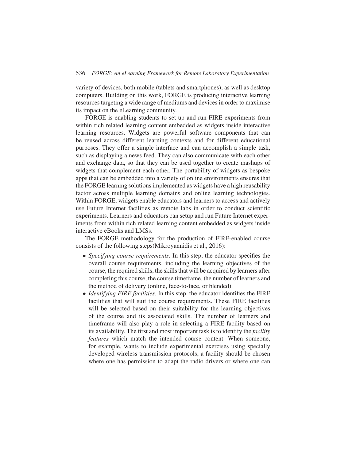variety of devices, both mobile (tablets and smartphones), as well as desktop computers. Building on this work, FORGE is producing interactive learning resources targeting a wide range of mediums and devices in order to maximise its impact on the eLearning community.

FORGE is enabling students to set-up and run FIRE experiments from within rich related learning content embedded as widgets inside interactive learning resources. Widgets are powerful software components that can be reused across different learning contexts and for different educational purposes. They offer a simple interface and can accomplish a simple task, such as displaying a news feed. They can also communicate with each other and exchange data, so that they can be used together to create mashups of widgets that complement each other. The portability of widgets as bespoke apps that can be embedded into a variety of online environments ensures that the FORGE learning solutions implemented as widgets have a high reusability factor across multiple learning domains and online learning technologies. Within FORGE, widgets enable educators and learners to access and actively use Future Internet facilities as remote labs in order to conduct scientific experiments. Learners and educators can setup and run Future Internet experiments from within rich related learning content embedded as widgets inside interactive eBooks and LMSs.

The FORGE methodology for the production of FIRE-enabled course consists of the following steps(Mikroyannidis et al., 2016):

- *Specifying course requirements.* In this step, the educator specifies the overall course requirements, including the learning objectives of the course, the required skills, the skills that will be acquired by learners after completing this course, the course timeframe, the number of learners and the method of delivery (online, face-to-face, or blended).
- *Identifying FIRE facilities*. In this step, the educator identifies the FIRE facilities that will suit the course requirements. These FIRE facilities will be selected based on their suitability for the learning objectives of the course and its associated skills. The number of learners and timeframe will also play a role in selecting a FIRE facility based on its availability. The first and most important task is to identify the *facility features* which match the intended course content. When someone, for example, wants to include experimental exercises using specially developed wireless transmission protocols, a facility should be chosen where one has permission to adapt the radio drivers or where one can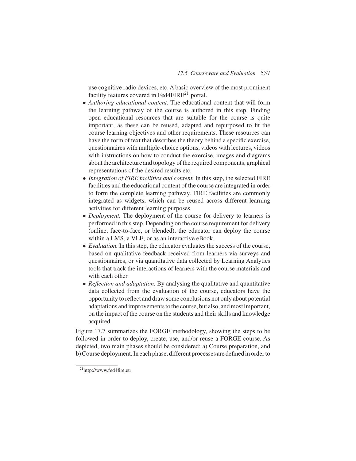use cognitive radio devices, etc. A basic overview of the most prominent facility features covered in Fed $4$ FIRE $^{21}$  portal.

- *Authoring educational content.* The educational content that will form the learning pathway of the course is authored in this step. Finding open educational resources that are suitable for the course is quite important, as these can be reused, adapted and repurposed to fit the course learning objectives and other requirements. These resources can have the form of text that describes the theory behind a specific exercise, questionnaires with multiple-choice options, videos with lectures, videos with instructions on how to conduct the exercise, images and diagrams about the architecture and topology of the required components, graphical representations of the desired results etc.
- *Integration of FIRE facilities and content.* In this step, the selected FIRE facilities and the educational content of the course are integrated in order to form the complete learning pathway. FIRE facilities are commonly integrated as widgets, which can be reused across different learning activities for different learning purposes.
- *Deployment*. The deployment of the course for delivery to learners is performed in this step. Depending on the course requirement for delivery (online, face-to-face, or blended), the educator can deploy the course within a LMS, a VLE, or as an interactive eBook.
- *Evaluation*. In this step, the educator evaluates the success of the course, based on qualitative feedback received from learners via surveys and questionnaires, or via quantitative data collected by Learning Analytics tools that track the interactions of learners with the course materials and with each other.
- *Reflection and adaptation*. By analysing the qualitative and quantitative data collected from the evaluation of the course, educators have the opportunity to reflect and draw some conclusions not only about potential adaptations and improvements to the course, but also, and most important, on the impact of the course on the students and their skills and knowledge acquired.

Figure 17.7 summarizes the FORGE methodology, showing the steps to be followed in order to deploy, create, use, and/or reuse a FORGE course. As depicted, two main phases should be considered: a) Course preparation, and b) Course deployment. In each phase, different processes are defined in order to

<sup>21</sup>http://www.fed4fire.eu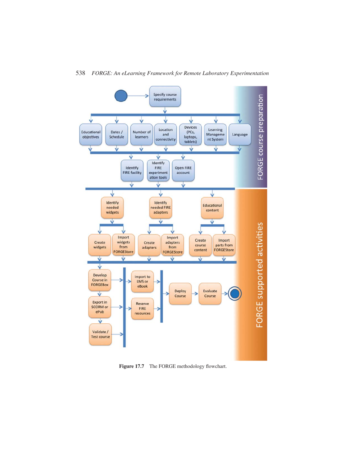

538 *FORGE: An eLearning Framework for Remote Laboratory Experimentation*

Figure 17.7 The FORGE methodology flowchart.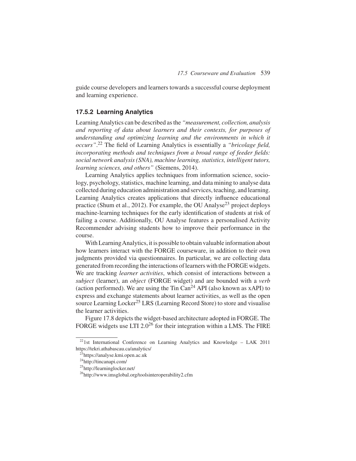guide course developers and learners towards a successful course deployment and learning experience.

#### **17.5.2 Learning Analytics**

LearningAnalytics can be described as the *"measurement, collection, analysis and reporting of data about learners and their contexts, for purposes of understanding and optimizing learning and the environments in which it occurs"*. <sup>22</sup> The field of Learning Analytics is essentially a *"bricolage field, incorporating methods and techniques from a broad range of feeder fields: social network analysis (SNA), machine learning, statistics, intelligent tutors, learning sciences, and others"* (Siemens, 2014).

Learning Analytics applies techniques from information science, sociology, psychology, statistics, machine learning, and data mining to analyse data collected during education administration and services, teaching, and learning. Learning Analytics creates applications that directly influence educational practice (Shum et al., 2012). For example, the OU Analyse<sup>23</sup> project deploys machine-learning techniques for the early identification of students at risk of failing a course. Additionally, OU Analyse features a personalised Activity Recommender advising students how to improve their performance in the course.

With Learning Analytics, it is possible to obtain valuable information about how learners interact with the FORGE courseware, in addition to their own judgments provided via questionnaires. In particular, we are collecting data generated from recording the interactions of learners with the FORGE widgets. We are tracking *learner activities*, which consist of interactions between a *subject* (learner), an *object* (FORGE widget) and are bounded with a *verb* (action performed). We are using the Tin  $Can^{24}$  API (also known as xAPI) to express and exchange statements about learner activities, as well as the open source Learning Locker<sup>25</sup> LRS (Learning Record Store) to store and visualise the learner activities.

Figure 17.8 depicts the widget-based architecture adopted in FORGE. The FORGE widgets use LTI  $2.0^{26}$  for their integration within a LMS. The FIRE

 $^{22}$ 1st International Conference on Learning Analytics and Knowledge – LAK 2011 https://tekri.athabascau.ca/analytics/

<sup>23</sup>https://analyse.kmi.open.ac.uk

<sup>24</sup>http://tincanapi.com/

<sup>25</sup>http://learninglocker.net/

<sup>26</sup>http://www.imsglobal.org/toolsinteroperability2.cfm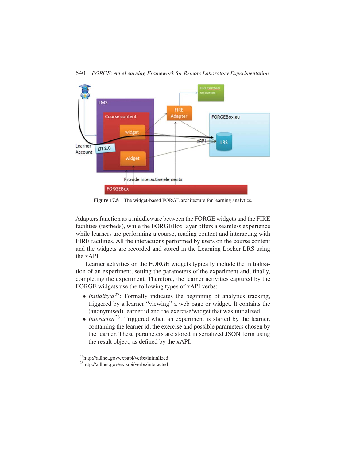

540 *FORGE: An eLearning Framework for Remote Laboratory Experimentation*

**Figure 17.8** The widget-based FORGE architecture for learning analytics.

Adapters function as a middleware between the FORGE widgets and the FIRE facilities (testbeds), while the FORGEBox layer offers a seamless experience while learners are performing a course, reading content and interacting with FIRE facilities. All the interactions performed by users on the course content and the widgets are recorded and stored in the Learning Locker LRS using the xAPI.

Learner activities on the FORGE widgets typically include the initialisation of an experiment, setting the parameters of the experiment and, finally, completing the experiment. Therefore, the learner activities captured by the FORGE widgets use the following types of xAPI verbs:

- *Initialized*<sup>27</sup>: Formally indicates the beginning of analytics tracking, triggered by a learner "viewing" a web page or widget. It contains the (anonymised) learner id and the exercise/widget that was initialized.
- *Interacted*<sup>28</sup>: Triggered when an experiment is started by the learner, containing the learner id, the exercise and possible parameters chosen by the learner. These parameters are stored in serialized JSON form using the result object, as defined by the xAPI.

<sup>27</sup>http://adlnet.gov/expapi/verbs/initialized

<sup>28</sup>http://adlnet.gov/expapi/verbs/interacted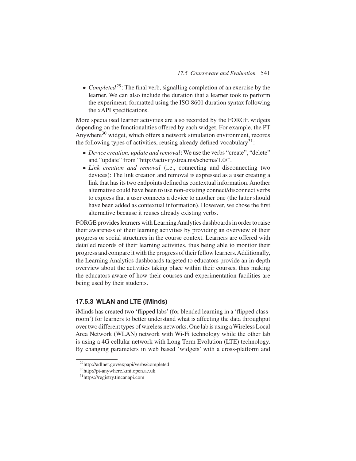• *Completed*<sup>29</sup>: The final verb, signalling completion of an exercise by the learner. We can also include the duration that a learner took to perform the experiment, formatted using the ISO 8601 duration syntax following the xAPI specifications.

More specialised learner activities are also recorded by the FORGE widgets depending on the functionalities offered by each widget. For example, the PT Anywhere<sup>30</sup> widget, which offers a network simulation environment, records the following types of activities, reusing already defined vocabulary $31$ :

- *Device creation, update and removal*:We use the verbs "create", "delete" and "update" from "http://activitystrea.ms/schema/1.0/".
- *Link creation and removal* (i.e., connecting and disconnecting two devices): The link creation and removal is expressed as a user creating a link that has its two endpoints defined as contextual information. Another alternative could have been to use non-existing connect/disconnect verbs to express that a user connects a device to another one (the latter should have been added as contextual information). However, we chose the first alternative because it reuses already existing verbs.

FORGE provides learners with Learning Analytics dashboards in order to raise their awareness of their learning activities by providing an overview of their progress or social structures in the course context. Learners are offered with detailed records of their learning activities, thus being able to monitor their progress and compare it with the progress of their fellow learners.Additionally, the Learning Analytics dashboards targeted to educators provide an in-depth overview about the activities taking place within their courses, thus making the educators aware of how their courses and experimentation facilities are being used by their students.

# **17.5.3 WLAN and LTE (iMinds)**

iMinds has created two 'flipped labs' (for blended learning in a 'flipped classroom') for learners to better understand what is affecting the data throughput over two different types of wireless networks. One lab is using aWireless Local Area Network (WLAN) network with Wi-Fi technology while the other lab is using a 4G cellular network with Long Term Evolution (LTE) technology. By changing parameters in web based 'widgets' with a cross-platform and

<sup>29</sup>http://adlnet.gov/expapi/verbs/completed

<sup>30</sup>http://pt-anywhere.kmi.open.ac.uk

<sup>31</sup>https://registry.tincanapi.com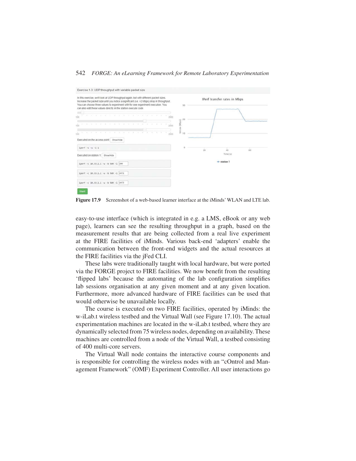

**Figure 17.9** Screenshot of a web-based learner interface at the iMinds' WLAN and LTE lab.

easy-to-use interface (which is integrated in e.g. a LMS, eBook or any web page), learners can see the resulting throughput in a graph, based on the measurement results that are being collected from a real live experiment at the FIRE facilities of iMinds. Various back-end 'adapters' enable the communication between the front-end widgets and the actual resources at the FIRE facilities via the jFed CLI.

These labs were traditionally taught with local hardware, but were ported via the FORGE project to FIRE facilities. We now benefit from the resulting 'flipped labs' because the automating of the lab configuration simplifies lab sessions organisation at any given moment and at any given location. Furthermore, more advanced hardware of FIRE facilities can be used that would otherwise be unavailable locally.

The course is executed on two FIRE facilities, operated by iMinds: the w-iLab.t wireless testbed and the Virtual Wall (see Figure 17.10). The actual experimentation machines are located in the w-iLab.t testbed, where they are dynamically selected from 75 wireless nodes, depending on availability. These machines are controlled from a node of the Virtual Wall, a testbed consisting of 400 multi-core servers.

The Virtual Wall node contains the interactive course components and is responsible for controlling the wireless nodes with an "cOntrol and Management Framework" (OMF) Experiment Controller. All user interactions go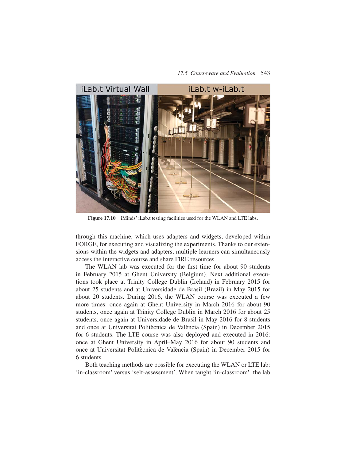

Figure 17.10 iMinds' iLab.t testing facilities used for the WLAN and LTE labs.

through this machine, which uses adapters and widgets, developed within FORGE, for executing and visualizing the experiments. Thanks to our extensions within the widgets and adapters, multiple learners can simultaneously access the interactive course and share FIRE resources.

The WLAN lab was executed for the first time for about 90 students in February 2015 at Ghent University (Belgium). Next additional executions took place at Trinity College Dublin (Ireland) in February 2015 for about 25 students and at Universidade de Brasil (Brazil) in May 2015 for about 20 students. During 2016, the WLAN course was executed a few more times: once again at Ghent University in March 2016 for about 90 students, once again at Trinity College Dublin in March 2016 for about 25 students, once again at Universidade de Brasil in May 2016 for 8 students and once at Universitat Politècnica de València (Spain) in December 2015 for 6 students. The LTE course was also deployed and executed in 2016: once at Ghent University in April–May 2016 for about 90 students and once at Universitat Politècnica de València (Spain) in December 2015 for 6 students.

Both teaching methods are possible for executing the WLAN or LTE lab: 'in-classroom' versus 'self-assessment'. When taught 'in-classroom', the lab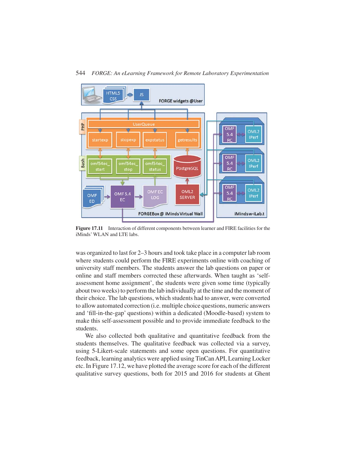

**Figure 17.11** Interaction of different components between learner and FIRE facilities for the iMinds' WLAN and LTE labs.

was organized to last for 2–3 hours and took take place in a computer lab room where students could perform the FIRE experiments online with coaching of university staff members. The students answer the lab questions on paper or online and staff members corrected these afterwards. When taught as 'selfassessment home assignment', the students were given some time (typically about two weeks) to perform the lab individually at the time and the moment of their choice. The lab questions, which students had to answer, were converted to allow automated correction (i.e. multiple choice questions, numeric answers and 'fill-in-the-gap' questions) within a dedicated (Moodle-based) system to make this self-assessment possible and to provide immediate feedback to the students.

We also collected both qualitative and quantitative feedback from the students themselves. The qualitative feedback was collected via a survey, using 5-Likert-scale statements and some open questions. For quantitative feedback, learning analytics were applied using TinCan API, Learning Locker etc. In Figure 17.12, we have plotted the average score for each of the different qualitative survey questions, both for 2015 and 2016 for students at Ghent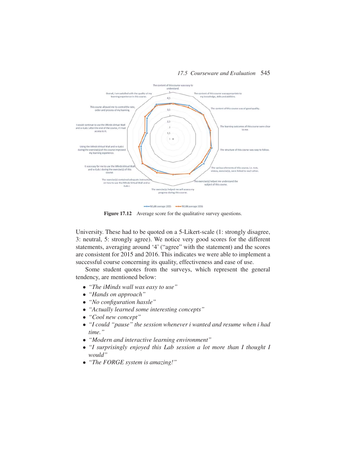

**Figure 17.12** Average score for the qualitative survey questions.

University. These had to be quoted on a 5-Likert-scale (1: strongly disagree, 3: neutral, 5: strongly agree). We notice very good scores for the different statements, averaging around '4' ("agree" with the statement) and the scores are consistent for 2015 and 2016. This indicates we were able to implement a successful course concerning its quality, effectiveness and ease of use.

Some student quotes from the surveys, which represent the general tendency, are mentioned below:

- *"The iMinds wall was easy to use"*
- *"Hands on approach"*
- *"No configuration hassle"*
- *"Actually learned some interesting concepts"*
- *"Cool new concept"*
- *"I could "pause" the session whenever i wanted and resume when i had time."*
- *"Modern and interactive learning environment"*
- *"I surprisingly enjoyed this Lab session a lot more than I thought I would"*
- *"The FORGE system is amazing!"*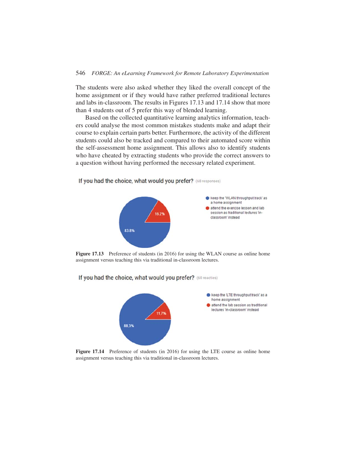The students were also asked whether they liked the overall concept of the home assignment or if they would have rather preferred traditional lectures and labs in-classroom. The results in Figures 17.13 and 17.14 show that more than 4 students out of 5 prefer this way of blended learning.

Based on the collected quantitative learning analytics information, teachers could analyse the most common mistakes students make and adapt their course to explain certain parts better. Furthermore, the activity of the different students could also be tracked and compared to their automated score within the self-assessment home assignment. This allows also to identify students who have cheated by extracting students who provide the correct answers to a question without having performed the necessary related experiment.

If you had the choice, what would you prefer? (68 responses)



**Figure 17.13** Preference of students (in 2016) for using the WLAN course as online home assignment versus teaching this via traditional in-classroom lectures.

If you had the choice, what would you prefer? (60 reacties)



**Figure 17.14** Preference of students (in 2016) for using the LTE course as online home assignment versus teaching this via traditional in-classroom lectures.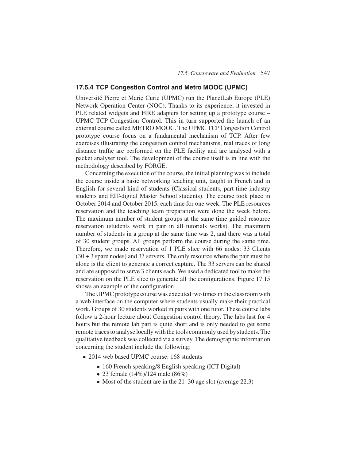#### **17.5.4 TCP Congestion Control and Metro MOOC (UPMC)**

Université Pierre et Marie Curie (UPMC) run the PlanetLab Europe (PLE) Network Operation Center (NOC). Thanks to its experience, it invested in PLE related widgets and FIRE adapters for setting up a prototype course – UPMC TCP Congestion Control. This in turn supported the launch of an external course called METRO MOOC. The UPMC TCP Congestion Control prototype course focus on a fundamental mechanism of TCP. After few exercises illustrating the congestion control mechanisms, real traces of long distance traffic are performed on the PLE facility and are analysed with a packet analyser tool. The development of the course itself is in line with the methodology described by FORGE.

Concerning the execution of the course, the initial planning was to include the course inside a basic networking teaching unit, taught in French and in English for several kind of students (Classical students, part-time industry students and EIT-digital Master School students). The course took place in October 2014 and October 2015, each time for one week. The PLE resources reservation and the teaching team preparation were done the week before. The maximum number of student groups at the same time guided resource reservation (students work in pair in all tutorials works). The maximum number of students in a group at the same time was 2, and there was a total of 30 student groups. All groups perform the course during the same time. Therefore, we made reservation of 1 PLE slice with 66 nodes: 33 Clients (30 + 3 spare nodes) and 33 servers. The only resource where the pair must be alone is the client to generate a correct capture. The 33 servers can be shared and are supposed to serve 3 clients each. We used a dedicated tool to make the reservation on the PLE slice to generate all the configurations. Figure 17.15 shows an example of the configuration.

The UPMC prototype course was executed two times in the classroom with a web interface on the computer where students usually make their practical work. Groups of 30 students worked in pairs with one tutor. These course labs follow a 2-hour lecture about Congestion control theory. The labs last for 4 hours but the remote lab part is quite short and is only needed to get some remote traces to analyse locally with the tools commonly used by students. The qualitative feedback was collected via a survey. The demographic information concerning the student include the following:

- 2014 web based UPMC course: 168 students
	- 160 French speaking/8 English speaking (ICT Digital)
	- 23 female (14%)/124 male (86%)
	- Most of the student are in the 21–30 age slot (average 22.3)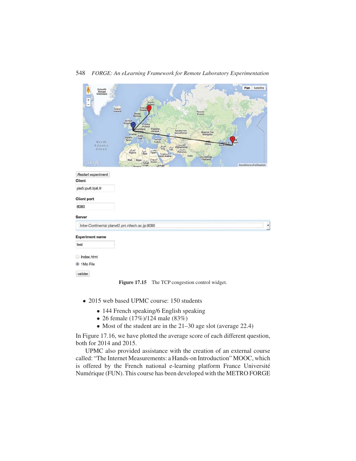| ł<br>Kalaallit<br>Nunaat<br>Greenland |                                                                                                                             |                                                                                                                                            |                                                                                     |                                                                 |                         | Plan<br>Satellite        |
|---------------------------------------|-----------------------------------------------------------------------------------------------------------------------------|--------------------------------------------------------------------------------------------------------------------------------------------|-------------------------------------------------------------------------------------|-----------------------------------------------------------------|-------------------------|--------------------------|
| $\frac{1}{1}$                         | Sverig<br>Sweder<br>Ísland<br>Iceland<br>Norge<br>Norway<br><b>United</b><br>Kingdo<br>Polska<br>Poland<br><b>itschland</b> | Suomi<br>Finland                                                                                                                           |                                                                                     | Россия<br>Russia                                                |                         |                          |
| North<br>Atlantic<br>Ocean<br>Google  | France<br>Italia<br>España<br>Spain<br>Italy<br>الحزائر<br>Algeria<br>$\frac{L}{Libya}$<br>Mali<br>Niger<br>تشاد            | Україна<br>Ukraine<br><b>Türkiye</b><br>Turkey<br>العراق<br>ابزأت<br>Iraq<br>Iran<br>Egypt<br>السعودية<br>Saudi Arabia<br>السودان<br>Sudan | Қазақстан<br>Kazakhstan<br>اقفانستار<br>Afghanistan<br>باكستان<br>Pakistan<br>India | <b>Монгол Улс</b><br>Mongolia<br>China<br>ประเทศไทย<br>Thailand | ipan<br>하인국<br>South Ko |                          |
|                                       | Tchad<br>Chad<br><b>Minerin</b>                                                                                             | <b>XTPAP</b>                                                                                                                               |                                                                                     |                                                                 |                         | Conditions d'utilisation |
| Restart experiment                    |                                                                                                                             |                                                                                                                                            |                                                                                     |                                                                 |                         |                          |
| <b>Client</b>                         |                                                                                                                             |                                                                                                                                            |                                                                                     |                                                                 |                         |                          |
| ple3.ipv6.lip6.fr                     |                                                                                                                             |                                                                                                                                            |                                                                                     |                                                                 |                         |                          |
| <b>Client port</b>                    |                                                                                                                             |                                                                                                                                            |                                                                                     |                                                                 |                         |                          |
| 8080                                  |                                                                                                                             |                                                                                                                                            |                                                                                     |                                                                 |                         |                          |
| Server                                |                                                                                                                             |                                                                                                                                            |                                                                                     |                                                                 |                         |                          |
|                                       | Inter-Continental planet2.pnl.nitech.ac.jp:8080                                                                             |                                                                                                                                            |                                                                                     |                                                                 |                         |                          |
| <b>Experiment name</b>                |                                                                                                                             |                                                                                                                                            |                                                                                     |                                                                 |                         |                          |
| test                                  |                                                                                                                             |                                                                                                                                            |                                                                                     |                                                                 |                         |                          |
| Index.html                            |                                                                                                                             |                                                                                                                                            |                                                                                     |                                                                 |                         |                          |
|                                       |                                                                                                                             |                                                                                                                                            |                                                                                     |                                                                 |                         |                          |
| 1Mo File<br>0                         |                                                                                                                             |                                                                                                                                            |                                                                                     |                                                                 |                         |                          |
| valider                               |                                                                                                                             |                                                                                                                                            |                                                                                     |                                                                 |                         |                          |
|                                       | <b>Figure 17.15</b>                                                                                                         | The TCP congestion control widget.                                                                                                         |                                                                                     |                                                                 |                         |                          |

- 2015 web based UPMC course: 150 students
	- 144 French speaking/6 English speaking
	- 26 female (17%)/124 male (83%)
	- Most of the student are in the 21–30 age slot (average 22.4)

In Figure 17.16, we have plotted the average score of each different question, both for 2014 and 2015.

UPMC also provided assistance with the creation of an external course called: "The Internet Measurements: a Hands-on Introduction" MOOC, which is offered by the French national e-learning platform France Université Numérique (FUN). This course has been developed with the METRO FORGE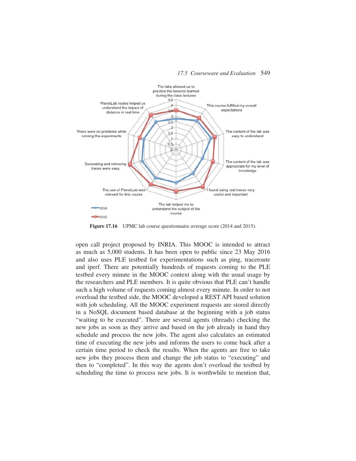#### *17.5 Courseware and Evaluation* 549



**Figure 17.16** UPMC lab course questionnaire average score (2014 and 2015).

open call project proposed by INRIA. This MOOC is intended to attract as much as 5,000 students. It has been open to public since 23 May 2016 and also uses PLE testbed for experimentations such as ping, traceroute and iperf. There are potentially hundreds of requests coming to the PLE testbed every minute in the MOOC context along with the usual usage by the researchers and PLE members. It is quite obvious that PLE can't handle such a high volume of requests coming almost every minute. In order to not overload the testbed side, the MOOC developed a REST API based solution with job scheduling. All the MOOC experiment requests are stored directly in a NoSQL document based database at the beginning with a job status "waiting to be executed". There are several agents (threads) checking the new jobs as soon as they arrive and based on the job already in hand they schedule and process the new jobs. The agent also calculates an estimated time of executing the new jobs and informs the users to come back after a certain time period to check the results. When the agents are free to take new jobs they process them and change the job status to "executing" and then to "completed". In this way the agents don't overload the testbed by scheduling the time to process new jobs. It is worthwhile to mention that,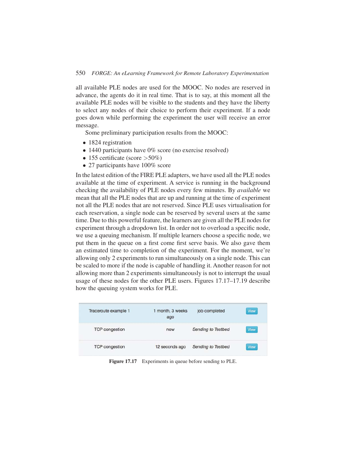all available PLE nodes are used for the MOOC. No nodes are reserved in advance, the agents do it in real time. That is to say, at this moment all the available PLE nodes will be visible to the students and they have the liberty to select any nodes of their choice to perform their experiment. If a node goes down while performing the experiment the user will receive an error message.

Some preliminary participation results from the MOOC:

- 1824 registration
- 1440 participants have 0% score (no exercise resolved)
- 155 certificate (score  $>50\%$ )
- 27 participants have 100% score

In the latest edition of the FIRE PLE adapters, we have used all the PLE nodes available at the time of experiment. A service is running in the background checking the availability of PLE nodes every few minutes. By *available* we mean that all the PLE nodes that are up and running at the time of experiment not all the PLE nodes that are not reserved. Since PLE uses virtualisation for each reservation, a single node can be reserved by several users at the same time. Due to this powerful feature, the learners are given all the PLE nodes for experiment through a dropdown list. In order not to overload a specific node, we use a queuing mechanism. If multiple learners choose a specific node, we put them in the queue on a first come first serve basis. We also gave them an estimated time to completion of the experiment. For the moment, we're allowing only 2 experiments to run simultaneously on a single node. This can be scaled to more if the node is capable of handling it. Another reason for not allowing more than 2 experiments simultaneously is not to interrupt the usual usage of these nodes for the other PLE users. Figures 17.17–17.19 describe how the queuing system works for PLE.

| Traceroute example 1  | 1 month, 3 weeks<br>ago | job completed             | View |  |
|-----------------------|-------------------------|---------------------------|------|--|
| <b>TCP</b> congestion | now                     | <b>Sending to Testbed</b> | View |  |
| <b>TCP</b> congestion | 12 seconds ago          | Sending to Testbed        | View |  |

**Figure 17.17** Experiments in queue before sending to PLE.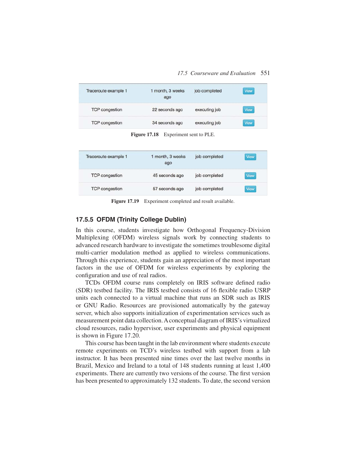| Traceroute example 1  | 1 month, 3 weeks<br>ago | job completed | <b>View</b> |  |
|-----------------------|-------------------------|---------------|-------------|--|
| <b>TCP</b> congestion | 22 seconds ago          | executing job | View        |  |
| <b>TCP</b> congestion | 34 seconds ago          | executing job | View        |  |

**Figure 17.18** Experiment sent to PLE.

| Traceroute example 1  | 1 month, 3 weeks<br>ago | job completed | View |  |
|-----------------------|-------------------------|---------------|------|--|
| <b>TCP</b> congestion | 45 seconds ago          | job completed | View |  |
| <b>TCP</b> congestion | 57 seconds ago          | job completed | View |  |

**Figure 17.19** Experiment completed and result available.

#### **17.5.5 OFDM (Trinity College Dublin)**

In this course, students investigate how Orthogonal Frequency-Division Multiplexing (OFDM) wireless signals work by connecting students to advanced research hardware to investigate the sometimes troublesome digital multi-carrier modulation method as applied to wireless communications. Through this experience, students gain an appreciation of the most important factors in the use of OFDM for wireless experiments by exploring the configuration and use of real radios.

TCDs OFDM course runs completely on IRIS software defined radio (SDR) testbed facility. The IRIS testbed consists of 16 flexible radio USRP units each connected to a virtual machine that runs an SDR such as IRIS or GNU Radio. Resources are provisioned automatically by the gateway server, which also supports initialization of experimentation services such as measurement point data collection.A conceptual diagram of IRIS's virtualized cloud resources, radio hypervisor, user experiments and physical equipment is shown in Figure 17.20.

This course has been taught in the lab environment where students execute remote experiments on TCD's wireless testbed with support from a lab instructor. It has been presented nine times over the last twelve months in Brazil, Mexico and Ireland to a total of 148 students running at least 1,400 experiments. There are currently two versions of the course. The first version has been presented to approximately 132 students. To date, the second version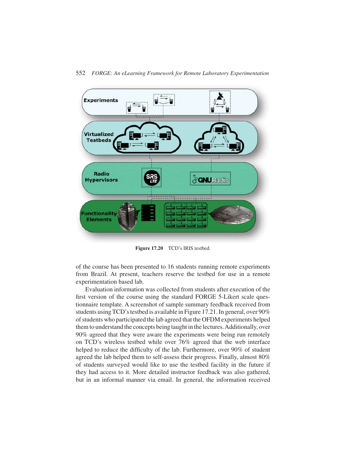

552 *FORGE: An eLearning Framework for Remote Laboratory Experimentation*

**Figure 17.20** TCD's IRIS testbed.

of the course has been presented to 16 students running remote experiments from Brazil. At present, teachers reserve the testbed for use in a remote experimentation based lab.

Evaluation information was collected from students after execution of the first version of the course using the standard FORGE 5-Likert scale questionnaire template. A screenshot of sample summary feedback received from students using TCD's testbed is available in Figure 17.21. In general, over 90% of students who participated the lab agreed that the OFDM experiments helped them to understand the concepts being taught in the lectures.Additionally, over 90% agreed that they were aware the experiments were being run remotely on TCD's wireless testbed while over 76% agreed that the web interface helped to reduce the difficulty of the lab. Furthermore, over 90% of student agreed the lab helped them to self-assess their progress. Finally, almost 80% of students surveyed would like to use the testbed facility in the future if they had access to it. More detailed instructor feedback was also gathered, but in an informal manner via email. In general, the information received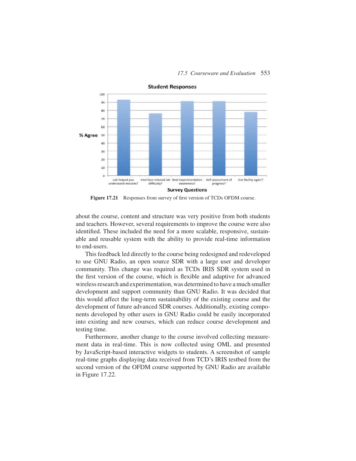

Figure 17.21 Responses from survey of first version of TCDs OFDM course.

about the course, content and structure was very positive from both students and teachers. However, several requirements to improve the course were also identified. These included the need for a more scalable, responsive, sustainable and reusable system with the ability to provide real-time information to end-users.

This feedback led directly to the course being redesigned and redeveloped to use GNU Radio, an open source SDR with a large user and developer community. This change was required as TCDs IRIS SDR system used in the first version of the course, which is flexible and adaptive for advanced wireless research and experimentation, was determined to have a much smaller development and support community than GNU Radio. It was decided that this would affect the long-term sustainability of the existing course and the development of future advanced SDR courses. Additionally, existing components developed by other users in GNU Radio could be easily incorporated into existing and new courses, which can reduce course development and testing time.

Furthermore, another change to the course involved collecting measurement data in real-time. This is now collected using OML and presented by JavaScript-based interactive widgets to students. A screenshot of sample real-time graphs displaying data received from TCD's IRIS testbed from the second version of the OFDM course supported by GNU Radio are available in Figure 17.22.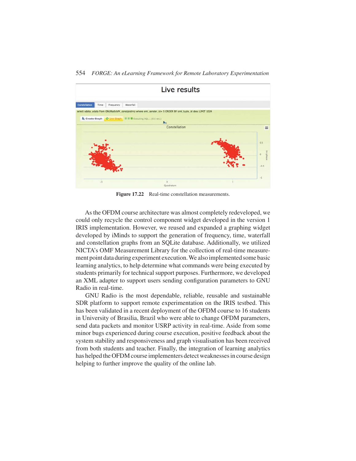554 *FORGE: An eLearning Framework for Remote Laboratory Experimentation*



Figure 17.22 Real-time constellation measurements.

As the OFDM course architecture was almost completely redeveloped, we could only recycle the control component widget developed in the version 1 IRIS implementation. However, we reused and expanded a graphing widget developed by iMinds to support the generation of frequency, time, waterfall and constellation graphs from an SQLite database. Additionally, we utilized NICTA's OMF Measurement Library for the collection of real-time measurement point data during experiment execution.We also implemented some basic learning analytics, to help determine what commands were being executed by students primarily for technical support purposes. Furthermore, we developed an XML adapter to support users sending configuration parameters to GNU Radio in real-time.

GNU Radio is the most dependable, reliable, reusable and sustainable SDR platform to support remote experimentation on the IRIS testbed. This has been validated in a recent deployment of the OFDM course to 16 students in University of Brasilia, Brazil who were able to change OFDM parameters, send data packets and monitor USRP activity in real-time. Aside from some minor bugs experienced during course execution, positive feedback about the system stability and responsiveness and graph visualisation has been received from both students and teacher. Finally, the integration of learning analytics has helped the OFDM course implementers detect weaknesses in course design helping to further improve the quality of the online lab.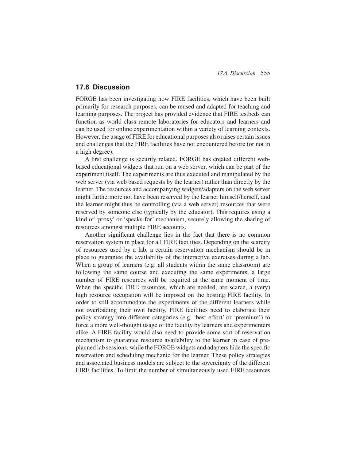# **17.6 Discussion**

FORGE has been investigating how FIRE facilities, which have been built primarily for research purposes, can be reused and adapted for teaching and learning purposes. The project has provided evidence that FIRE testbeds can function as world-class remote laboratories for educators and learners and can be used for online experimentation within a variety of learning contexts. However, the usage of FIRE for educational purposes also raises certain issues and challenges that the FIRE facilities have not encountered before (or not in a high degree).

A first challenge is security related. FORGE has created different webbased educational widgets that run on a web server, which can be part of the experiment itself. The experiments are thus executed and manipulated by the web server (via web based requests by the learner) rather than directly by the learner. The resources and accompanying widgets/adapters on the web server might furthermore not have been reserved by the learner himself/herself, and the learner might thus be controlling (via a web server) resources that were reserved by someone else (typically by the educator). This requires using a kind of 'proxy' or 'speaks-for' mechanism, securely allowing the sharing of resources amongst multiple FIRE accounts.

Another significant challenge lies in the fact that there is no common reservation system in place for all FIRE facilities. Depending on the scarcity of resources used by a lab, a certain reservation mechanism should be in place to guarantee the availability of the interactive exercises during a lab. When a group of learners (e.g. all students within the same classroom) are following the same course and executing the same experiments, a large number of FIRE resources will be required at the same moment of time. When the specific FIRE resources, which are needed, are scarce, a (very) high resource occupation will be imposed on the hosting FIRE facility. In order to still accommodate the experiments of the different learners while not overloading their own facility, FIRE facilities need to elaborate their policy strategy into different categories (e.g. 'best effort' or 'premium') to force a more well-thought usage of the facility by learners and experimenters alike. A FIRE facility would also need to provide some sort of reservation mechanism to guarantee resource availability to the learner in case of preplanned lab sessions, while the FORGE widgets and adapters hide the specific reservation and scheduling mechanic for the learner. These policy strategies and associated business models are subject to the sovereignty of the different FIRE facilities. To limit the number of simultaneously used FIRE resources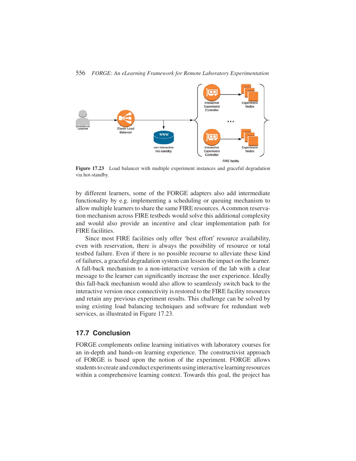



**Figure 17.23** Load balancer with multiple experiment instances and graceful degradation via hot-standby.

by different learners, some of the FORGE adapters also add intermediate functionality by e.g. implementing a scheduling or queuing mechanism to allow multiple learners to share the same FIRE resources. A common reservation mechanism across FIRE testbeds would solve this additional complexity and would also provide an incentive and clear implementation path for FIRE facilities.

Since most FIRE facilities only offer 'best effort' resource availability, even with reservation, there is always the possibility of resource or total testbed failure. Even if there is no possible recourse to alleviate these kind of failures, a graceful degradation system can lessen the impact on the learner. A fall-back mechanism to a non-interactive version of the lab with a clear message to the learner can significantly increase the user experience. Ideally this fall-back mechanism would also allow to seamlessly switch back to the interactive version once connectivity is restored to the FIRE facility resources and retain any previous experiment results. This challenge can be solved by using existing load balancing techniques and software for redundant web services, as illustrated in Figure 17.23.

# **17.7 Conclusion**

FORGE complements online learning initiatives with laboratory courses for an in-depth and hands-on learning experience. The constructivist approach of FORGE is based upon the notion of the experiment. FORGE allows students to create and conduct experiments using interactive learning resources within a comprehensive learning context. Towards this goal, the project has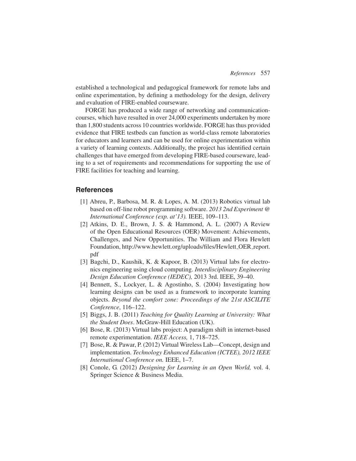established a technological and pedagogical framework for remote labs and online experimentation, by defining a methodology for the design, delivery and evaluation of FIRE-enabled courseware.

FORGE has produced a wide range of networking and communicationcourses, which have resulted in over 24,000 experiments undertaken by more than 1,800 students across 10 countries worldwide. FORGE has thus provided evidence that FIRE testbeds can function as world-class remote laboratories for educators and learners and can be used for online experimentation within a variety of learning contexts. Additionally, the project has identified certain challenges that have emerged from developing FIRE-based courseware, leading to a set of requirements and recommendations for supporting the use of FIRE facilities for teaching and learning.

#### **References**

- [1] Abreu, P., Barbosa, M. R. & Lopes, A. M. (2013) Robotics virtual lab based on off-line robot programming software. *2013 2nd Experiment @ International Conference (exp. at'13).* IEEE, 109–113.
- [2] Atkins, D. E., Brown, J. S. & Hammond, A. L. (2007) A Review of the Open Educational Resources (OER) Movement: Achievements, Challenges, and New Opportunities. The William and Flora Hewlett Foundation, http://www.hewlett.org/uploads/files/Hewlett\_OER\_report. pdf
- [3] Bagchi, D., Kaushik, K. & Kapoor, B. (2013) Virtual labs for electronics engineering using cloud computing. *Interdisciplinary Engineering Design Education Conference (IEDEC),* 2013 3rd. IEEE, 39–40.
- [4] Bennett, S., Lockyer, L. & Agostinho, S. (2004) Investigating how learning designs can be used as a framework to incorporate learning objects. *Beyond the comfort zone: Proceedings of the 21st ASCILITE Conference*, 116–122.
- [5] Biggs, J. B. (2011) *Teaching for Quality Learning at University: What the Student Does*. McGraw-Hill Education (UK).
- [6] Bose, R. (2013) Virtual labs project: A paradigm shift in internet-based remote experimentation. *IEEE Access,* 1, 718–725.
- [7] Bose, R. & Pawar, P. (2012) Virtual Wireless Lab—Concept, design and implementation. *Technology Enhanced Education (ICTEE), 2012 IEEE International Conference on.* IEEE, 1–7.
- [8] Conole, G. (2012) *Designing for Learning in an Open World,* vol. 4. Springer Science & Business Media.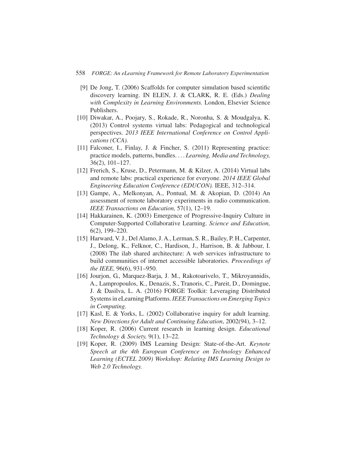- [9] De Jong, T. (2006) Scaffolds for computer simulation based scientific discovery learning. IN ELEN, J. & CLARK, R. E. (Eds.) *Dealing with Complexity in Learning Environments.* London, Elsevier Science Publishers.
- [10] Diwakar, A., Poojary, S., Rokade, R., Noronha, S. & Moudgalya, K. (2013) Control systems virtual labs: Pedagogical and technological perspectives. *2013 IEEE International Conference on Control Applications (CCA).*
- [11] Falconer, I., Finlay, J. & Fincher, S. (2011) Representing practice: practice models, patterns, bundles.... *Learning, Media and Technology,* 36(2), 101–127.
- [12] Frerich, S., Kruse, D., Petermann, M. & Kilzer, A. (2014) Virtual labs and remote labs: practical experience for everyone. *2014 IEEE Global Engineering Education Conference (EDUCON).* IEEE, 312–314.
- [13] Gampe, A., Melkonyan, A., Pontual, M. & Akopian, D. (2014) An assessment of remote laboratory experiments in radio communication. *IEEE Transactions on Education,* 57(1), 12–19.
- [14] Hakkarainen, K. (2003) Emergence of Progressive-Inquiry Culture in Computer-Supported Collaborative Learning. *Science and Education,* 6(2), 199–220.
- [15] Harward, V. J., Del Alamo, J. A., Lerman, S. R., Bailey, P. H., Carpenter, J., Delong, K., Felknor, C., Hardison, J., Harrison, B. & Jabbour, I. (2008) The ilab shared architecture: A web services infrastructure to build communities of internet accessible laboratories. *Proceedings of the IEEE,* 96(6), 931–950.
- [16] Jourjon, G., Marquez-Barja, J. M., Rakotoarivelo, T., Mikroyannidis, A., Lampropoulos, K., Denazis, S., Tranoris, C., Pareit, D., Domingue, J. & Dasilva, L. A. (2016) FORGE Toolkit: Leveraging Distributed Systems in eLearning Platforms.*IEEE Transactions on Emerging Topics in Computing.*
- [17] Kasl, E. & Yorks, L. (2002) Collaborative inquiry for adult learning. *New Directions for Adult and Continuing Education*, 2002(94), 3–12.
- [18] Koper, R. (2006) Current research in learning design. *Educational Technology & Society,* 9(1), 13–22.
- [19] Koper, R. (2009) IMS Learning Design: State-of-the-Art. *Keynote Speech at the 4th European Conference on Technology Enhanced Learning (ECTEL 2009) Workshop: Relating IMS Learning Design to Web 2.0 Technology.*